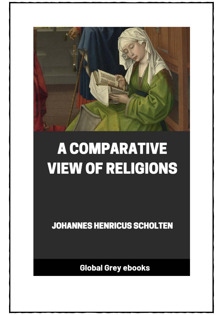

# **A COMPARATIVE VIEW OF RELIGIONS**

**JOHANNES HENRICUS SCHOLTEN** 

**Global Grey ebooks**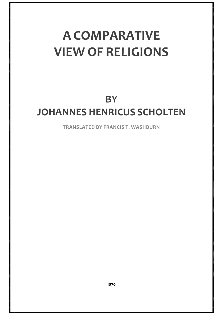# **A COMPARATIVE VIEW OF RELIGIONS**

# **BY JOHANNES HENRICUS SCHOLTEN**

**TRANSLATED BY FRANCIS T. WASHBURN**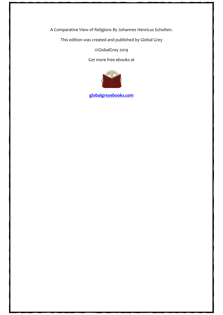A Comparative View of Religions By Johannes Henricus Scholten.

This edition was created and published by Global Grey

©GlobalGrey 2019

Get more free ebooks at



**[globalgreyebooks.com](https://www.globalgreyebooks.com/index.html)**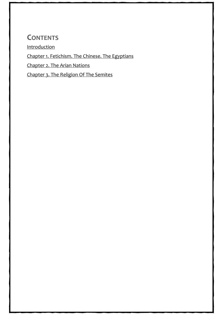# **CONTENTS**

[Introduction](#page-4-0) [Chapter 1. Fetichism. The Chinese. The Egyptians](#page-6-0) [Chapter 2. The Arian Nations](#page-9-0) [Chapter 3. The Religion Of The Semites](#page-21-0)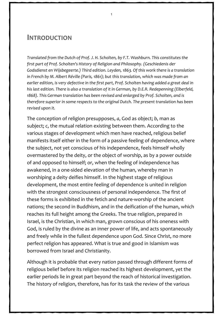### <span id="page-4-0"></span>**INTRODUCTION**

*Translated from the Dutch of Prof. J. H. Scholten, by F.T. Washburn. This constitutes the first part of Prof. Scholten's History of Religion and Philosophy. (Geschiedenis der Godsdienst en Wijsbegeerte.) Third edition. Leyden, 1863. Of this work there is a translation in French by M. Albert Réville (Paris, 1861); but this translation, which was made from an earlier edition, is very defective in the first part, Prof. Scholten having added a great deal in his last edition. There is also a translation of it in German, by D.E.R. Redepenning (Elberfeld,*  1868). This German translation has been revised and enlarged by Prof. Scholten, and is *therefore superior in some respects to the original Dutch. The present translation has been revised upon it.*

1

The conception of religion presupposes, *a*, God as object; *b*, man as subject; *c*, the mutual relation existing between them. According to the various stages of development which men have reached, religious belief manifests itself either in the form of a passive feeling of dependence, where the subject, not yet conscious of his independence, feels himself wholly overmastered by the deity, or the object of worship, as by a power outside of and opposed to himself; or, when the feeling of independence has awakened, in a one-sided elevation of the human, whereby man in worshiping a deity deifies himself. In the highest stage of religious development, the most entire feeling of dependence is united in religion with the strongest consciousness of personal independence. The first of these forms is exhibited in the fetich and nature-worship of the ancient nations; the second in Buddhism, and in the deification of the human, which reaches its full height among the Greeks. The true religion, prepared in Israel, is the Christian, in which man, grown conscious of his oneness with God, is ruled by the divine as an inner power of life, and acts spontaneously and freely while in the fullest dependence upon God. Since Christ, no more perfect religion has appeared. What is true and good in Islamism was borrowed from Israel and Christianity.

Although it is probable that every nation passed through different forms of religious belief before its religion reached its highest development, yet the earlier periods lie in great part beyond the reach of historical investigation. The history of religion, therefore, has for its task the review of the various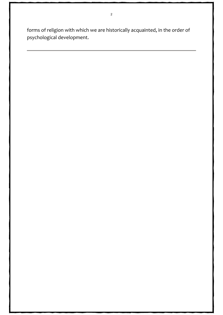forms of religion with which we are historically acquainted, in the order of psychological development.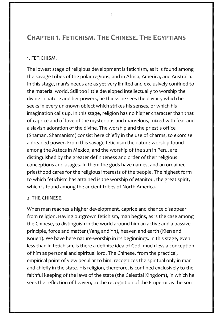# <span id="page-6-0"></span>**CHAPTER 1. FETICHISM. THE CHINESE. THE EGYPTIANS**

#### 1. FETICHISM.

The lowest stage of religious development is fetichism, as it is found among the savage tribes of the polar regions, and in Africa, America, and Australia. In this stage, man's needs are as yet very limited and exclusively confined to the material world. Still too little developed intellectually to worship the divine in nature and her powers, he thinks he sees the divinity which he seeks in every unknown object which strikes his senses, or which his imagination calls up. In this stage, religion has no higher character than that of caprice and of love of the mysterious and marvelous, mixed with fear and a slavish adoration of the divine. The worship and the priest's office (Shaman, Shamanism) consist here chiefly in the use of charms, to exorcise a dreaded power. From this savage fetichism the nature-worship found among the Aztecs in Mexico, and the worship of the sun in Peru, are distinguished by the greater definiteness and order of their religious conceptions and usages. In them the gods have names, and an ordained priesthood cares for the religious interests of the people. The highest form to which fetichism has attained is the worship of Manitou, the great spirit, which is found among the ancient tribes of North America.

#### 2. THE CHINESE.

When man reaches a higher development, caprice and chance disappear from religion. Having outgrown fetichism, man begins, as is the case among the Chinese, to distinguish in the world around him an active and a passive principle, force and matter (Yang and Yn), heaven and earth (Kien and Kouen). We have here nature-worship in its beginnings. In this stage, even less than in fetichism, is there a definite idea of God, much less a conception of him as personal and spiritual lord. The Chinese, from the practical, empirical point of view peculiar to him, recognizes the spiritual only in man and chiefly in the state. His religion, therefore, is confined exclusively to the faithful keeping of the laws of the state (the Celestial Kingdom), in which he sees the reflection of heaven, to the recognition of the Emperor as the son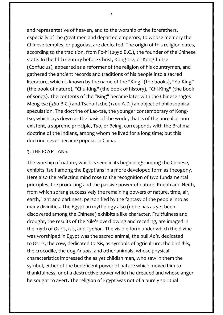and representative of heaven, and to the worship of the forefathers, especially of the great men and departed emperors, to whose memory the Chinese temples, or pagodas, are dedicated. The origin of this religion dates, according to the tradition, from Fo-hi (2950 B.C.), the founder of the Chinese state. In the fifth century before Christ, Kong-tse, or Kong-fu-tse (Confucius), appeared as a reformer of the religion of his countrymen, and gathered the ancient records and traditions of his people into a sacred literature, which is known by the name of the "King" (the books), "Yo-King" (the book of nature), "Chu-King" (the book of history), "Chi-King" (the book of songs). The contents of the "King" became later with the Chinese sages Meng-tse (360 B.C.) and Tschu-tsche (1200 A.D.) an object of philosophical speculation. The doctrine of Lao-tse, the younger contemporary of Kongtse, which lays down as the basis of the world, that is of the unreal or nonexistent, a supreme principle, *Tao*, or *Being*, corresponds with the Brahma doctrine of the Indians, among whom he lived for a long time; but this doctrine never became popular in China.

#### 3. THE EGYPTIANS.

The worship of nature, which is seen in its beginnings among the Chinese, exhibits itself among the Egyptians in a more developed form as theogony. Here also the reflecting mind rose to the recognition of two fundamental principles, the producing and the passive power of nature, Kneph and Neith, from which sprang successively the remaining powers of nature, time, air, earth, light and darkness, personified by the fantasy of the people into as many divinities. The Egyptian mythology also (none has as yet been discovered among the Chinese) exhibits a like character. Fruitfulness and drought, the results of the Nile's overflowing and receding, are imaged in the myth of *Osiris*, *Isis*, and *Typhon*. The visible form under which the divine was worshiped in Egypt was the sacred animal, the bull *Apis*, dedicated to *Osiris*, the cow, dedicated to *Isis*, as symbols of agriculture; the bird *Ibis*, the crocodile, the dog *Anubis*, and other animals, whose physical characteristics impressed the as yet childish man, who saw in them the symbol, either of the beneficent power of nature which moved him to thankfulness, or of a destructive power which he dreaded and whose anger he sought to avert. The religion of Egypt was not of a purely spiritual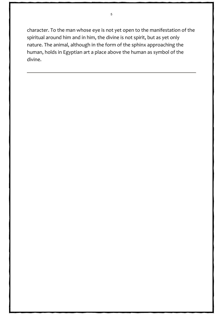character. To the man whose eye is not yet open to the manifestation of the spiritual around him and in him, the divine is not spirit, but as yet only nature. The animal, although in the form of the sphinx approaching the human, holds in Egyptian art a place above the human as symbol of the divine.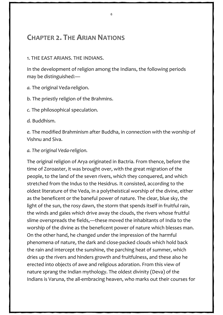### <span id="page-9-0"></span>**CHAPTER 2. THE ARIAN NATIONS**

#### 1. THE EAST ARIANS. THE INDIANS.

In the development of religion among the Indians, the following periods may be distinguished:—

*a.* The original Veda-religion.

*b.* The priestly religion of the Brahmins.

*c.* The philosophical speculation.

*d.* Buddhism.

*e.* The modified Brahminism after Buddha, in connection with the worship of Vishnu and Siva.

#### *a. The original Veda-religion.*

The original religion of Arya originated in Bactria. From thence, before the time of Zoroaster, it was brought over, with the great migration of the people, to the land of the seven rivers, which they conquered, and which stretched from the Indus to the Hesidrus. It consisted, according to the oldest literature of the Veda, in a polytheistical worship of the divine, either as the beneficent or the baneful power of nature. The clear, blue sky, the light of the sun, the rosy dawn, the storm that spends itself in fruitful rain, the winds and gales which drive away the clouds, the rivers whose fruitful slime overspreads the fields,—these moved the inhabitants of India to the worship of the divine as the beneficent power of nature which blesses man. On the other hand, he changed under the impression of the harmful phenomena of nature, the dark and close-packed clouds which hold back the rain and intercept the sunshine, the parching heat of summer, which dries up the rivers and hinders growth and fruitfulness, and these also he erected into objects of awe and religious adoration. From this view of nature sprang the Indian mythology. The oldest divinity (Deva) of the Indians is Varuna, the all-embracing heaven, who marks out their courses for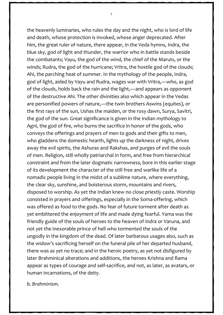the heavenly luminaries, who rules the day and the night, who is lord of life and death, whose protection is invoked, whose anger deprecated. After him, the great ruler of nature, there appear, in the Veda hymns, Indra, the blue sky, god of light and thunder, the warrior who in battle stands beside the combatants; Vayu, the god of the wind, the chief of the Maruts, or the winds; Rudra, the god of the hurricane; Vritra, the hostile god of the clouds; Ahi, the parching heat of summer. In the mythology of the people, Indra, god of light, aided by Vayu and Rudra, wages war with Vritra,—who, as god of the clouds, holds back the rain and the light,—and appears as opponent of the destructive Ahi. The other divinities also which appear in the Vedas are personified powers of nature,—the twin brothers Aswins (equites), or the first rays of the sun, Ushas the maiden, or the rosy dawn, Surya, Savitri, the god of the sun. Great significance is given in the Indian mythology to Agni, the god of fire, who burns the sacrifice in honor of the gods, who conveys the offerings and prayers of men to gods and their gifts to men, who gladdens the domestic hearth, lights up the darkness of night, drives away the evil spirits, the Ashuras and Rakshas, and purges of evil the souls of men. Religion, still wholly patriarchal in form, and free from hierarchical constraint and from the later dogmatic narrowness, bore in this earlier stage of its development the character of the still free and warlike life of a nomadic people living in the midst of a sublime nature, where everything, the clear sky, sunshine, and boisterous storm, mountains and rivers, disposed to worship. As yet the Indian knew no close priestly caste. Worship consisted in prayers and offerings, especially in the Soma-offering, which was offered as food to the gods. No fear of future torment after death as yet embittered the enjoyment of life and made dying fearful. Yama was the friendly guide of the souls of heroes to the heaven of Indra or Varuna, and not yet the inexorable prince of hell who tormented the souls of the ungodly in the kingdom of the dead. Of later barbarous usages also, such as the widow's sacrificing herself on the funeral pile of her departed husband, there was as yet no trace; and in the heroic poetry, as yet not disfigured by later Brahminical alterations and additions, the heroes Krishna and Rama appear as types of courage and self-sacrifice, and not, as later, as avatars, or human incarnations, of the deity.

*b. Brahminism.*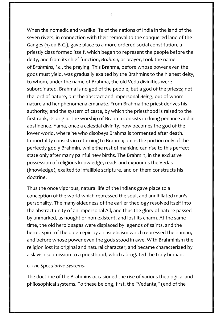When the nomadic and warlike life of the nations of India in the land of the seven rivers, in connection with their removal to the conquered land of the Ganges (1300 B.C.), gave place to a more ordered social constitution, a priestly class formed itself, which began to represent the people before the deity, and from its chief function, *Brahma*, or prayer, took the name of *Brahmins*, *i.e.*, the praying. This Brahma, before whose power even the gods must yield, was gradually exalted by the Brahmins to the highest deity, to whom, under the name of Brahma, the old Veda divinities were subordinated. Brahma is no god of the people, but a god of the priests; not the lord of nature, but the abstract and impersonal *Being*, out of whom nature and her phenomena emanate. From Brahma the priest derives his authority; and the system of caste, by which the priesthood is raised to the first rank, its origin. The worship of Brahma consists in doing penance and in abstinence. Yama, once a celestial divinity, now becomes the god of the lower world, where he who disobeys Brahma is tormented after death. Immortality consists in returning to Brahma; but is the portion only of the perfectly godly Brahmin, while the rest of mankind can rise to this perfect state only after many painful new births. The Brahmin, in the exclusive possession of religious knowledge, reads and expounds the Vedas (knowledge), exalted to infallible scripture, and on them constructs his doctrine.

Thus the once vigorous, natural life of the Indians gave place to a conception of the world which repressed the soul, and annihilated man's personality. The many-sidedness of the earlier theology resolved itself into the abstract unity of an impersonal All, and thus the glory of nature passed by unmarked, as nought or non-existent, and lost its charm. At the same time, the old heroic sagas were displaced by legends of saints, and the heroic spirit of the olden epic by an asceticism which repressed the human, and before whose power even the gods stood in awe. With Brahminism the religion lost its original and natural character, and became characterized by a slavish submission to a priesthood, which abrogated the truly human.

*c. The Speculative Systems.*

The doctrine of the Brahmins occasioned the rise of various theological and philosophical systems. To these belong, first, the "Vedanta," (end of the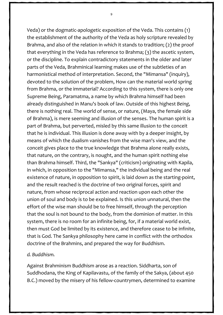Veda) or the dogmatic-apologetic exposition of the Veda. This contains (1) the establishment of the authority of the Veda as holy scripture revealed by Brahma, and also of the relation in which it stands to tradition; (2) the proof that everything in the Veda has reference to Brahma; (3) the ascetic system, or the discipline. To explain contradictory statements in the older and later parts of the Veda, Brahminical learning makes use of the subtleties of an harmonistical method of interpretation. Second, the "Mimansa" (inquiry), devoted to the solution of the problem, How can the material world spring from Brahma, or the immaterial? According to this system, there is only one Supreme Being, Paramatma, a name by which Brahma himself had been already distinguished in Manu's book of law. Outside of this highest *Being*, there is nothing real. The world of sense, or nature, (Maya, the female side of Brahma), is mere seeming and illusion of the senses. The human spirit is a part of Brahma, but perverted, misled by this same illusion to the conceit that he is individual. This illusion is done away with by a deeper insight, by means of which the dualism vanishes from the wise man's view, and the conceit gives place to the true knowledge that Brahma alone really exists, that nature, on the contrary, is nought, and the human spirit nothing else than Brahma himself. Third, the "Sankya" (criticism) originating with Kapila, in which, in opposition to the "Mimansa," the individual being and the real existence of nature, in opposition to spirit, is laid down as the starting-point, and the result reached is the doctrine of two original forces, spirit and nature, from whose reciprocal action and reaction upon each other the union of soul and body is to be explained. Is this union unnatural, then the effort of the wise man should be to free himself, through the perception that the soul is not bound to the body, from the dominion of matter. In this system, there is no room for an infinite being, for, if a material world exist, then must God be limited by its existence, and therefore cease to be infinite, that is God. The Sankya philosophy here came in conflict with the orthodox doctrine of the Brahmins, and prepared the way for Buddhism.

#### *d. Buddhism.*

Against Brahminism Buddhism arose as a reaction. Siddharta, son of Suddhodana, the King of Kapilavastu, of the family of the Sakya, (about 450 B.C.) moved by the misery of his fellow-countrymen, determined to examine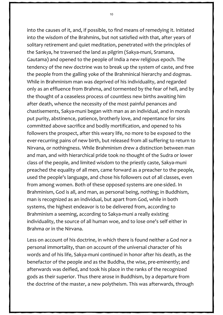into the causes of it, and, if possible, to find means of remedying it. Initiated into the wisdom of the Brahmins, but not satisfied with that, after years of solitary retirement and quiet meditation, penetrated with the principles of the Sankya, he traversed the land as pilgrim (Sakya-muni, Sramana, Gautama) and opened to the people of India a new religious epoch. The tendency of the new doctrine was to break up the system of caste, and free the people from the galling yoke of the Brahminical hierarchy and dogmas. While in Brahminism man was deprived of his individuality, and regarded only as an effluence from Brahma, and tormented by the fear of hell, and by the thought of a ceaseless process of countless new births awaiting him after death, whence the necessity of the most painful penances and chastisements, Sakya-muni began with man as an individual, and in morals put purity, abstinence, patience, brotherly love, and repentance for sins committed above sacrifice and bodily mortification, and opened to his followers the prospect, after this weary life, no more to be exposed to the ever-recurring pains of new birth, but released from all suffering to return to Nirvana, or nothingness. While Brahminism drew a distinction between man and man, and with hierarchical pride took no thought of the Sudra or lower class of the people, and limited wisdom to the priestly caste, Sakya-muni preached the equality of all men, came forward as a preacher to the people, used the people's language, and chose his followers out of all classes, even from among women. Both of these opposed systems are one-sided. In Brahminism, God is all, and man, as personal being, nothing; in Buddhism, man is recognized as an individual, but apart from God, while in both systems, the highest endeavor is to be delivered from, according to Brahminism a seeming, according to Sakya-muni a really existing individuality, the source of all human woe, and to lose one's self either in Brahma or in the Nirvana.

Less on account of his doctrine, in which there is found neither a God nor a personal immortality, than on account of the universal character of his words and of his life, Sakya-muni continued in honor after his death, as the benefactor of the people and as the Buddha, the wise, pre-eminently; and afterwards was deified, and took his place in the ranks of the recognized gods as their superior. Thus there arose in Buddhism, by a departure from the doctrine of the master, a new polytheism. This was afterwards, through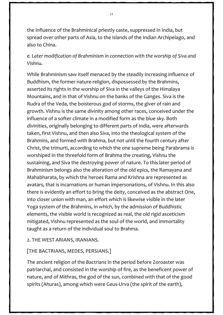the influence of the Brahminical priestly caste, suppressed in India, but spread over other parts of Asia, to the islands of the Indian Archipelago, and also to China.

*e. Later modification of Brahminism in connection with the worship of Siva and Vishnu.*

While Brahminism saw itself menaced by the steadily increasing influence of Buddhism, the former nature-religion, dispossessed by the Brahmins, asserted its rights in the worship of Siva in the valleys of the Himalaya Mountains, and in that of Vishnu on the banks of the Ganges. Siva is the Rudra of the Veda, the boisterous god of storms, the giver of rain and growth. Vishnu is the same divinity among other races, conceived under the influence of a softer climate in a modified form as the blue sky. Both divinities, originally belonging to different parts of India, were afterwards taken, first Vishnu, and then also Siva, into the theological system of the Brahmins, and formed with Brahma, but not until the fourth century after Christ, the trimurti, according to which the one supreme being Parabrama is worshiped in the threefold form of Brahma the creating, Vishnu the sustaining, and Siva the destroying power of nature. To this later period of Brahminism belongs also the alteration of the old epics, the Ramayana and Mahabharata, by which the heroes Rama and Krishna are represented as avatars, that is incarnations or human impersonations, of Vishnu. In this also there is evidently an effort to bring the deity, conceived as the abstract One, into closer union with man, an effort which is likewise visible in the later Yoga system of the Brahmins, in which, by the admission of Buddhistic elements, the visible world is recognized as real, the old rigid asceticism mitigated, Vishnu represented as the soul of the world, and immortality taught as a return of the individual soul to Brahma.

2. THE WEST ARIANS, IRANIANS.

#### [THE BACTRIANS, MEDES, PERSIANS.]

The ancient religion of the Bactrians in the period before Zoroaster was patriarchal, and consisted in the worship of fire, as the beneficent power of nature, and of Mithras, the god of the sun, combined with that of the good spirits (Ahuras), among which were Geus-Urva (the spirit of the earth),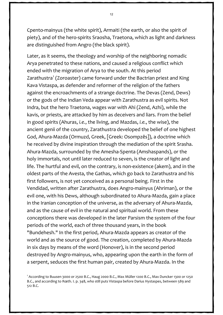Cpento-mainyus (the white spirit), Armaiti (the earth, or also the spirit of piety), and of the hero-spirits Sraosha, Traetona, which as light and darkness are distinguished from Angro (the black spirit).

Later, as it seems, the theology and worship of the neighboring nomadic Arya penetrated to these nations, and caused a religious conflict which ended with the migration of Arya to the south. At this period Zarathustra<sup>[1](#page-15-0)</sup> (Zoroaster) came forward under the Bactrian priest and King Kava Vistaspa, as defender and reformer of the religion of the fathers against the encroachments of a strange doctrine. The Devas (Zend, Dews) or the gods of the Indian Veda appear with Zarathustra as evil spirits. Not Indra, but the hero Traetona, wages war with Ahi (Zend, Azhi), while the kavis, or priests, are attacked by him as deceivers and liars. From the belief in good spirits (Ahuras, *i.e.*, the living, and Mazdas, *i.e.*, the wise), the ancient genii of the country, Zarathustra developed the belief of one highest God, Ahura-Mazda (Ormuzd, Greek, [Greek: Osompzês]), a doctrine which he received by divine inspiration through the mediation of the spirit Srasha. Ahura-Mazda, surrounded by the Amesha-Spenta (Amshaspands), or the holy immortals, not until later reduced to seven, is the creator of light and life. The hurtful and evil, on the contrary, is non-existence (akem), and in the oldest parts of the Avesta, the Gathas, which go back to Zarathustra and his first followers, is not yet conceived as a personal being. First in the Vendidad, written after Zarathustra, does Angro-mainyus (Ahriman), or the evil one, with his Dews, although subordinated to Ahura-Mazda, gain a place in the Iranian conception of the universe, as the adversary of Ahura-Mazda, and as the cause of evil in the natural and spiritual world. From these conceptions there was developed in the later Parsism the system of the four periods of the world, each of three thousand years, in the book "Bundehesh." In the first period, Ahura-Mazda appears as creator of the world and as the source of good. The creation, completed by Ahura-Mazda in six days by means of the word (Honover), is in the second period destroyed by Angro-mainyus, who, appearing upon the earth in the form of a serpent, seduces the first human pair, created by Ahura-Mazda. In the

<span id="page-15-0"></span><sup>1</sup> According to Buusen 3000 or 2500 B.C., Haug 2000 B.C., Max Müller 1200 B.C., Max Duncker 1300 or 1250 B.C., and according to Rœth. I. p. 348, who still puts Vistaspa before Darius Hystaspes, between 589 and 512 B.C.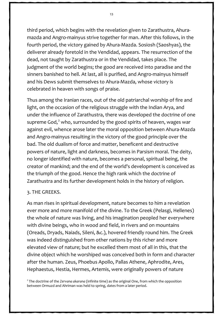third period, which begins with the revelation given to Zarathustra, Ahuramazda and Angro-mainyus strive together for man. After this follows, in the fourth period, the victory gained by Ahura-Mazda. Sosiosh (Saoshyas), the deliverer already foretold in the Vendidad, appears. The resurrection of the dead, not taught by Zarathustra or in the Vendidad, takes place. The judgment of the world begins; the good are received into paradise and the sinners banished to hell. At last, all is purified, and Angro-mainyus himself and his Dews submit themselves to Ahura-Mazda, whose victory is celebrated in heaven with songs of praise.

Thus among the Iranian races, out of the old patriarchal worship of fire and light, on the occasion of the religious struggle with the Indian Arya, and under the influence of Zarathustra, there was developed the doctrine of one supreme God,<sup>[2](#page-16-0)</sup> who, surrounded by the good spirits of heaven, wages war against evil, whence arose later the moral opposition between Ahura-Mazda and Angro-mainyus resulting in the victory of the good principle over the bad. The old dualism of force and matter, beneficent and destructive powers of nature, light and darkness, becomes in Parsism moral. The deity, no longer identified with nature, becomes a personal, spiritual being, the creator of mankind; and the end of the world's development is conceived as the triumph of the good. Hence the high rank which the doctrine of Zarathustra and its further development holds in the history of religion.

#### 3. THE GREEKS.

As man rises in spiritual development, nature becomes to him a revelation ever more and more manifold of the divine. To the Greek (Pelasgi, Hellenes) the whole of nature was living, and his imagination peopled her everywhere with divine beings, who in wood and field, in rivers and on mountains (Oreads, Dryads, Naiads, Sileni, &c.), hovered friendly round him. The Greek was indeed distinguished from other nations by this richer and more elevated view of nature; but he excelled them most of all in this, that the divine object which he worshiped was conceived both in form and character after the human. Zeus, Phoebus Apollo, Pallas Athene, Aphrodite, Ares, Hephaestus, Hestia, Hermes, Artemis, were originally powers of nature

<span id="page-16-0"></span><sup>2</sup> The doctrine of the *Zervana akarana* (infinite time) as the original One, from which the opposition between Ormuzd and Ahriman was held to spring, dates from a later period.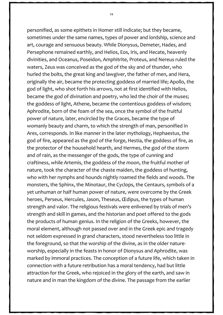personified, as some epithets in Homer still indicate; but they became, sometimes under the same names, types of power and lordship, science and art, courage and sensuous beauty. While Dionysus, Demeter, Hades, and Persephone remained earthly, and Helios, Eos, Iris, and Hecate, heavenly divinities, and Oceanus, Poseidon, Amphitrite, Proteus, and Nereus ruled the waters, Zeus was conceived as the god of the sky and of thunder, who hurled the bolts, the great king and lawgiver, the father of men, and Hera, originally the air, became the protecting goddess of married life; Apollo, the god of light, who shot forth his arrows, not at first identified with Helios, became the god of divination and poetry, who led the choir of the muses; the goddess of light, Athene, became the contentious goddess of wisdom; Aphrodite, born of the foam of the sea, once the symbol of the fruitful power of nature, later, encircled by the Graces, became the type of womanly beauty and charm, to which the strength of man, personified in Ares, corresponds. In like manner in the later mythology, Hephaestus, the god of fire, appeared as the god of the forge, Hestia, the goddess of fire, as the protector of the household hearth, and Hermes, the god of the storm and of rain, as the messenger of the gods, the type of cunning and craftiness, while Artemis, the goddess of the moon, the fruitful mother of nature, took the character of the chaste maiden, the goddess of hunting, who with her nymphs and hounds nightly roamed the fields and woods. The monsters, the Sphinx, the Minotaur, the Cyclops, the Centaurs, symbols of a yet unhuman or half human power of nature, were overcome by the Greek heroes, Perseus, Hercules, Jason, Theseus, Œdipus, the types of human strength and valor. The religious festivals were enlivened by trials of men's strength and skill in games, and the historian and poet offered to the gods the products of human genius. In the religion of the Greeks, however, the moral element, although not passed over and in the Greek epic and tragedy not seldom expressed in grand characters, stood nevertheless too little in the foreground, so that the worship of the divine, as in the older natureworship, especially in the feasts in honor of Dionysus and Aphrodite, was marked by immoral practices. The conception of a future life, which taken in connection with a future retribution has a moral tendency, had but little attraction for the Greek, who rejoiced in the glory of the earth, and saw in nature and in man the kingdom of the divine. The passage from the earlier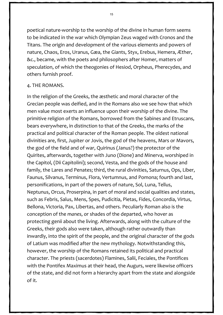poetical nature-worship to the worship of the divine in human form seems to be indicated in the war which Olympian Zeus waged with Cronos and the Titans. The origin and development of the various elements and powers of nature, Chaos, Eros, Uranus, Gæa, the Giants, Styx, Erebus, Hemera, Æther, &c., became, with the poets and philosophers after Homer, matters of speculation, of which the theogonies of Hesiod, Orpheus, Pherecydes, and others furnish proof.

#### 4. THE ROMANS.

In the religion of the Greeks, the æsthetic and moral character of the Grecian people was deified, and in the Romans also we see how that which men value most exerts an influence upon their worship of the divine. The primitive religion of the Romans, borrowed from the Sabines and Etruscans, bears everywhere, in distinction to that of the Greeks, the marks of the practical and political character of the Roman people. The oldest national divinities are, first, Jupiter or Jovis, the god of the heavens, Mars or Mavors, the god of the field and of war, Quirinus (Janus?) the protector of the Quirites, afterwards, together with Juno (Dione) and Minerva, worshiped in the Capitol, (Dii Capitolini); second, Vesta, and the gods of the house and family, the Lares and Penates; third, the rural divinities, Saturnus, Ops, Liber, Faunus, Silvanus, Terminus, Flora, Vertumnus, and Pomona; fourth and last, personifications, in part of the powers of nature, Sol, Luna, Tellus, Neptunus, Orcus, Proserpina, in part of moral and social qualities and states, such as Febris, Salus, Mens, Spes, Pudicitia, Pietas, Fides, Concordia, Virtus, Bellona, Victoria, Pax, Libertas, and others. Peculiarly Roman also is the conception of the *manes*, or shades of the departed, who hover as protecting genii about the living. Afterwards, along with the culture of the Greeks, their gods also were taken, although rather outwardly than inwardly, into the spirit of the people, and the original character of the gods of Latium was modified after the new mythology. Notwithstanding this, however, the worship of the Romans retained its political and practical character. The priests (sacerdotes) Flamines, Salii, Feciales, the Pontifices with the Pontifex Maximus at their head, the Augurs, were likewise officers of the state, and did not form a hierarchy apart from the state and alongside of it.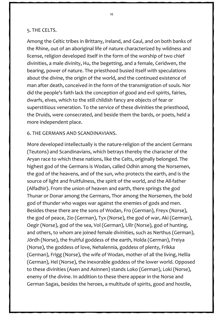#### 5. THE CELTS.

Among the Celtic tribes in Brittany, Ireland, and Gaul, and on both banks of the Rhine, out of an aboriginal life of nature characterized by wildness and license, religion developed itself in the form of the worship of two chief divinities, a male divinity, Hu, the begetting, and a female, Ceridwen, the bearing, power of nature. The priesthood busied itself with speculations about the divine, the origin of the world, and the continued existence of man after death, conceived in the form of the transmigration of souls. Nor did the people's faith lack the conception of good and evil spirits, fairies, dwarfs, elves, which to the still childish fancy are objects of fear or superstitious veneration. To the service of these divinities the priesthood, the Druids, were consecrated, and beside them the bards, or poets, held a more independent place.

#### 6. THE GERMANS AND SCANDINAVIANS.

More developed intellectually is the nature-religion of the ancient Germans (Teutons) and Scandinavians, which betrays thereby the character of the Aryan race to which these nations, like the Celts, originally belonged. The highest god of the Germans is Wodan, called Odhin among the Norsemen, the god of the heavens, and of the sun, who protects the earth, and is the source of light and fruitfulness, the spirit of the world, and the All-father (Alfadhir). From the union of heaven and earth, there springs the god Thunar or Donar among the Germans, Thor among the Norsemen, the bold god of thunder who wages war against the enemies of gods and men. Besides these there are the sons of Wodan, Fro (German), Freyx (Norse), the god of peace, Zio (German), Tyx (Norse), the god of war, Aki (German), Oegir (Norse), god of the sea, Vol (German), Ullr (Norse), god of hunting, and others, to whom are joined female divinities, such as Nerthus (German), Jördh (Norse), the fruitful goddess of the earth, Holda (German), Freiya (Norse), the goddess of love, Nehalennia, goddess of plenty, Frikka (German), Frigg (Norse), the wife of Wodan, mother of all the living, Hellia (German), Hel (Norse), the inexorable goddess of the lower world. Opposed to these divinities (Asen and Asinnen) stands Loko (German), Loki (Norse), enemy of the divine. In addition to these there appear in the Norse and German Sagas, besides the heroes, a multitude of spirits, good and hostile,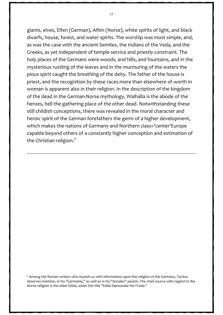giants, elves, Elfen (German), Alfen (Norse), white spirits of light, and black dwarfs, house, forest, and water spirits. The worship was most simple, and, as was the case with the ancient Semites, the Indians of the Veda, and the Greeks, as yet independent of temple service and priestly constraint. The holy places of the Germans were woods, and hills, and fountains, and in the mysterious rustling of the leaves and in the murmuring of the waters the pious spirit caught the breathing of the deity. The father of the house is priest, and the recognition by these races more than elsewhere of worth in woman is apparent also in their religion. In the description of the kingdom of the dead in the German-Norse mythology, Walhalla is the abode of the heroes, hell the gathering place of the other dead. Notwithstanding these still childish conceptions, there was revealed in the moral character and heroic spirit of the German forefathers the germ of a higher development, which makes the nations of Germany and Northern class='center'Europe capable beyond others of a constantly higher conception and estimation of the Christian religion. $3$ 

<span id="page-20-0"></span><sup>3</sup> Among the Roman writers who furnish us with information upon the religion of the Germans, Tacitus deserves mention, in his "Germania," as well as in his "Annales" *passim*. The chief source with regard to the Norse religion is the older Edda, under the title "Edda Sæmundar hin Froda."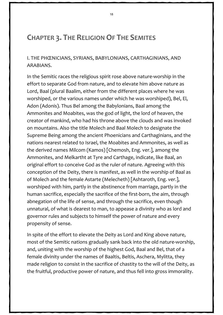# <span id="page-21-0"></span>**CHAPTER 3. THE RELIGION OF THE SEMITES**

#### I. THE PHŒNICIANS, SYRIANS, BABYLONIANS, CARTHAGINIANS, AND ARABIANS.

In the Semitic races the religious spirit rose above nature-worship in the effort to separate God from nature, and to elevate him above nature as Lord, Baal (plural Baalim, either from the different places where he was worshiped, or the various names under which he was worshiped), Bel, El, Adon (Adonis). Thus Bel among the Babylonians, Baal among the Ammonites and Moabites, was the god of light, the lord of heaven, the creator of mankind, who had his throne above the clouds and was invoked on mountains. Also the title Molech and Baal Molech to designate the Supreme Being among the ancient Phoenicians and Carthaginians, and the nations nearest related to Israel, the Moabites and Ammonites, as well as the derived names Milcom (Kamos) [Chemosh, Eng. ver.], among the Ammonites, and Melkartht at Tyre and Carthage, indicate, like Baal, an original effort to conceive God as the ruler of nature. Agreeing with this conception of the Deity, there is manifest, as well in the worship of Baal as of Molech and the female Astarte (Melecheth) [Ashtaroth, Eng. ver.], worshiped with him, partly in the abstinence from marriage, partly in the human sacrifice, especially the sacrifice of the first-born, the aim, through abnegation of the life of sense, and through the sacrifice, even though unnatural, of what is dearest to man, to appease a divinity who as lord and governor rules and subjects to himself the power of nature and every propensity of sense.

In spite of the effort to elevate the Deity as Lord and King above nature, most of the Semitic nations gradually sank back into the old nature-worship, and, uniting with the worship of the highest God, Baal and Bel, that of a female divinity under the names of Baaltis, Beltis, Aschera, Mylitta, they made religion to consist in the sacrifice of chastity to the will of the Deity, as the fruitful, productive power of nature, and thus fell into gross immorality.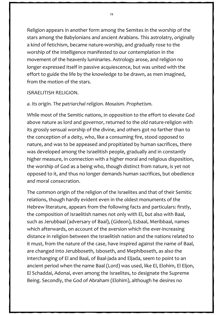Religion appears in another form among the Semites in the worship of the stars among the Babylonians and ancient Arabians. This astrolatry, originally a kind of fetichism, became nature-worship, and gradually rose to the worship of the intelligence manifested to our contemplation in the movement of the heavenly luminaries. Astrology arose, and religion no longer expressed itself in passive acquiescence, but was united with the effort to guide the life by the knowledge to be drawn, as men imagined, from the motion of the stars.

#### ISRAELITISH RELIGION.

#### *a. Its origin. The patriarchal religion. Mosaism. Prophetism.*

While most of the Semitic nations, in opposition to the effort to elevate God above nature as lord and governor, returned to the old nature-religion with its grossly sensual worship of the divine, and others got no farther than to the conception of a deity, who, like a consuming fire, stood opposed to nature, and was to be appeased and propitiated by human sacrifices, there was developed among the Israelitish people, gradually and in constantly higher measure, in connection with a higher moral and religious disposition, the worship of God as a being who, though distinct from nature, is yet not opposed to it, and thus no longer demands human sacrifices, but obedience and moral consecration.

The common origin of the religion of the Israelites and that of their Semitic relations, though hardly evident even in the oldest monuments of the Hebrew literature, appears from the following facts and particulars: firstly, the composition of Israelitish names not only with El, but also with Baal, such as Jerubbaal (adversary of Baal), (Gideon), Esbaal, Meribbaal, names which afterwards, on account of the aversion which the ever-increasing distance in religion between the Israelitish nation and the nations related to it must, from the nature of the case, have inspired against the name of Baal, are changed into Jerubboseth, Isboseth, and Mephiboseth, as also the interchanging of El and Baal, of Baal-jada and Eljada, seem to point to an ancient period when the name Baal (Lord) was used, like El, Elohim, El Eljon, El Schaddai, Adonai, even among the Israelites, to designate the Supreme Being. Secondly, the God of Abraham (Elohim), although he desires no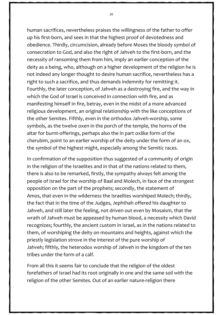human sacrifices, nevertheless praises the willingness of the father to offer up his first-born, and sees in that the highest proof of devotedness and obedience. Thirdly, circumcision, already before Moses the bloody symbol of consecration to God, and also the right of Jahveh to the first-born, and the necessity of ransoming them from him, imply an earlier conception of the deity as a being, who, although on a higher development of the religion he is not indeed any longer thought to desire human sacrifice, nevertheless has a right to such a sacrifice, and thus demands indemnity for remitting it. Fourthly, the later conception, of Jahveh as a destroying fire, and the way in which the God of Israel is conceived in connection with fire, and as manifesting himself in fire, betray, even in the midst of a more advanced religious development, an original relationship with the like conceptions of the other Semites. Fifthly, even in the orthodox Jahveh-worship, some symbols, as the twelve oxen in the porch of the temple, the horns of the altar for burnt-offerings, perhaps also the in part oxlike form of the cherubim, point to an earlier worship of the deity under the form of an ox, the symbol of the highest might, especially among the Semitic races.

In confirmation of the supposition thus suggested of a community of origin in the religion of the Israelites and in that of the nations related to them, there is also to be remarked, firstly, the sympathy always felt among the people of Israel for the worship of Baal and Molech, in face of the strongest opposition on the part of the prophets; secondly, the statement of Amos, that even in the wilderness the Israelites worshiped Molech; thirdly, the fact that in the time of the Judges, Jephthah offered his daughter to Jahveh, and still later the feeling, not driven out even by Mosaism, that the wrath of Jahveh must be appeased by human blood, a necessity which David recognizes; fourthly, the ancient custom in Israel, as in the nations related to them, of worshiping the deity on mountains and heights, against which the priestly legislation strove in the interest of the pure worship of Jahveh; fifthly, the heterodox worship of Jahveh in the kingdom of the ten tribes under the form of a calf.

From all this it seems fair to conclude that the religion of the oldest forefathers of Israel had its root originally in one and the same soil with the religion of the other Semites. Out of an earlier nature-religion there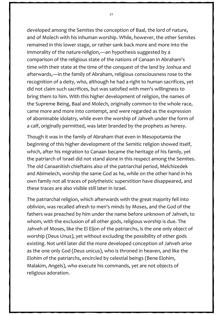developed among the Semites the conception of Baal, the lord of nature, and of Molech with his inhuman worship. While, however, the other Semites remained in this lower stage, or rather sank back more and more into the immorality of the nature-religion,—an hypothesis suggested by a comparison of the religious state of the nations of Canaan in Abraham's time with their state at the time of the conquest of the land by Joshua and afterwards,—in the family of Abraham, religious consciousness rose to the recognition of a deity, who, although he had a right to human sacrifices, yet did not claim such sacrifices, but was satisfied with men's willingness to bring them to him. With this higher development of religion, the names of the Supreme Being, Baal and Molech, originally common to the whole race, came more and more into contempt, and were regarded as the expression of abominable idolatry, while even the worship of Jahveh under the form of a calf, originally permitted, was later branded by the prophets as heresy.

Though it was in the family of Abraham that even in Mesopotamia the beginning of this higher development of the Semitic religion showed itself, which, after his migration to Canaan became the heritage of his family, yet the patriarch of Israel did not stand alone in this respect among the Semites. The old Canaanitish chieftains also of the patriarchal period, Melchizedek and Abimelech, worship the same God as he, while on the other hand in his own family not all traces of polytheistic superstition have disappeared, and these traces are also visible still later in Israel.

The patriarchal religion, which afterwards with the great majority fell into oblivion, was recalled afresh to men's minds by Moses, and the God of the fathers was preached by him under the name before unknown of Jahveh, to whom, with the exclusion of all other gods, religious worship is due. The Jahveh of Moses, like the El Eljon of the patriarchs, is the one only object of worship (Deus Unus), yet without excluding the possibility of other gods existing. Not until later did the more developed conception of Jahveh arise as the one only God (Deus unicus), who is throned in heaven, and like the Elohim of the patriarchs, encircled by celestial beings (Bene Elohim, Malakim, Angels), who execute his commands, yet are not objects of religious adoration.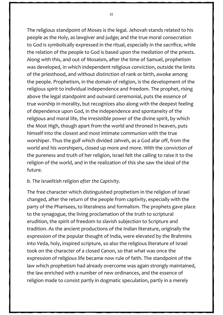The religious standpoint of Moses is the legal. Jehovah stands related to his people as the Holy, as lawgiver and judge; and the true moral consecration to God is symbolically expressed in the ritual, especially in the sacrifice, while the relation of the people to God is based upon the mediation of the priests. Along with this, and out of Mosaism, after the time of Samuel, prophetism was developed, in which independent religious conviction, outside the limits of the priesthood, and without distinction of rank or birth, awoke among the people. Prophetism, in the domain of religion, is the development of the religious spirit to individual independence and freedom. The prophet, rising above the legal standpoint and outward ceremonial, puts the essence of true worship in morality, but recognizes also along with the deepest feeling of dependence upon God, in the independence and spontaneity of the religious and moral life, the irresistible power of the divine spirit, by which the Most High, though apart from the world and throned in heaven, puts himself into the closest and most intimate communion with the true worshiper. Thus the gulf which divided Jahveh, as a God afar off, from the world and his worshipers, closed up more and more. With the conviction of the pureness and truth of her religion, Israel felt the calling to raise it to the religion of the world, and in the realization of this she saw the ideal of the future.

#### *b. The Israelitish religion after the Captivity.*

The free character which distinguished prophetism in the religion of Israel changed, after the return of the people from captivity, especially with the party of the Pharisees, to literalness and formalism. The prophets gave place to the synagogue, the living proclamation of the truth to scriptural erudition, the spirit of freedom to slavish subjection to Scripture and tradition. As the ancient productions of the Indian literature, originally the expression of the popular thought of India, were elevated by the Brahmins into Veda, holy, inspired scripture, so also the religious literature of Israel took on the character of a closed Canon, so that what was once the expression of religious life became now rule of faith. The standpoint of the law which prophetism had already overcome was again strongly maintained, the law enriched with a number of new ordinances, and the essence of religion made to consist partly in dogmatic speculation, partly in a merely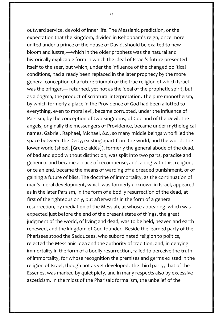outward service, devoid of inner life. The Messianic prediction, or the expectation that the kingdom, divided in Rehoboam's reign, once more united under a prince of the house of David, should be exalted to new bloom and lustre,—which in the older prophets was the natural and historically explicable form in which the ideal of Israel's future presented itself to the seer, but which, under the influence of the changed political conditions, had already been replaced in the later prophecy by the more general conception of a future triumph of the true religion of which Israel was the bringer,— returned, yet not as the ideal of the prophetic spirit, but as a dogma, the product of scriptural interpretation. The pure monotheism, by which formerly a place in the Providence of God had been allotted to everything, even to moral evil, became corrupted, under the influence of Parsism, by the conception of two kingdoms, of God and of the Devil. The angels, originally the messengers of Providence, became under mythological names, Gabriel, Raphael, Michael, &c., so many middle beings who filled the space between the Deity, existing apart from the world, and the world. The lower world (sheol, [Greek: aidês]), formerly the general abode of the dead, of bad and good without distinction, was split into two parts, paradise and gehenna, and became a place of recompense, and, along with this, religion, once an end, became the means of warding off a dreaded punishment, or of gaining a future of bliss. The doctrine of immortality, as the continuation of man's moral development, which was formerly unknown in Israel, appeared, as in the later Parsism, in the form of a bodily resurrection of the dead, at first of the righteous only, but afterwards in the form of a general resurrection, by mediation of the Messiah, at whose appearing, which was expected just before the end of the present state of things, the great judgment of the world, of living and dead, was to be held, heaven and earth renewed, and the kingdom of God founded. Beside the learned party of the Pharisees stood the Sadducees, who subordinated religion to politics, rejected the Messianic idea and the authority of tradition, and, in denying immortality in the form of a bodily resurrection, failed to perceive the truth of immortality, for whose recognition the premises and germs existed in the religion of Israel, though not as yet developed. The third party, that of the Essenes, was marked by quiet piety, and in many respects also by excessive asceticism. In the midst of the Pharisaic formalism, the unbelief of the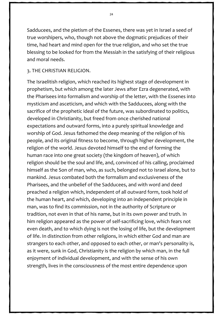Sadducees, and the pietism of the Essenes, there was yet in Israel a seed of true worshipers, who, though not above the dogmatic prejudices of their time, had heart and mind open for the true religion, and who set the true blessing to be looked for from the Messiah in the satisfying of their religious and moral needs.

#### 3. THE CHRISTIAN RELIGION.

The Israelitish religion, which reached its highest stage of development in prophetism, but which among the later Jews after Ezra degenerated, with the Pharisees into formalism and worship of the letter, with the Essenes into mysticism and asceticism, and which with the Sadducees, along with the sacrifice of the prophetic ideal of the future, was subordinated to politics, developed in Christianity, but freed from once cherished national expectations and outward forms, into a purely spiritual knowledge and worship of God. Jesus fathomed the deep meaning of the religion of his people, and its original fitness to become, through higher development, the religion of the world. Jesus devoted himself to the end of forming the human race into one great society (the kingdom of heaven), of which religion should be the soul and life, and, convinced of his calling, proclaimed himself as the Son of man, who, as such, belonged not to Israel alone, but to mankind. Jesus combated both the formalism and exclusiveness of the Pharisees, and the unbelief of the Sadducees, and with word and deed preached a religion which, independent of all outward form, took hold of the human heart, and which, developing into an independent principle in man, was to find its commission, not in the authority of Scripture or tradition, not even in that of his name, but in its own power and truth. In him religion appeared as the power of self-sacrificing love, which fears not even death, and to which dying is not the losing of life, but the development of life. In distinction from other religions, in which either God and man are strangers to each other, and opposed to each other, or man's personality is, as it were, sunk in God, Christianity is the religion by which man, in the full enjoyment of individual development, and with the sense of his own strength, lives in the consciousness of the most entire dependence upon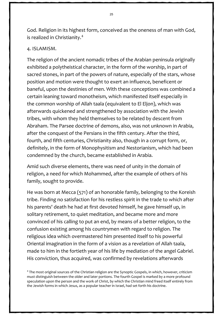God. Religion in its highest form, conceived as the oneness of man with God, is realized in Christianity. $4$ 

#### 4. ISLAMISM.

The religion of the ancient nomadic tribes of the Arabian peninsula originally exhibited a polytheistical character, in the form of the worship, in part of sacred stones, in part of the powers of nature, especially of the stars, whose position and motion were thought to exert an influence, beneficent or baneful, upon the destinies of men. With these conceptions was combined a certain leaning toward monotheism, which manifested itself especially in the common worship of Allah taala (equivalent to El Eljon), which was afterwards quickened and strengthened by association with the Jewish tribes, with whom they held themselves to be related by descent from Abraham. The Parsee doctrine of demons, also, was not unknown in Arabia, after the conquest of the Persians in the fifth century. After the third, fourth, and fifth centuries, Christianity also, though in a corrupt form, or, definitely, in the form of Monophysitism and Nestorianism, which had been condemned by the church, became established in Arabia.

Amid such diverse elements, there was need of unity in the domain of religion, a need for which Mohammed, after the example of others of his family, sought to provide.

He was born at Mecca (571) of an honorable family, belonging to the Koreish tribe. Finding no satisfaction for his restless spirit in the trade to which after his parents' death he had at first devoted himself, he gave himself up, in solitary retirement, to quiet meditation, and became more and more convinced of his calling to put an end, by means of a better religion, to the confusion existing among his countrymen with regard to religion. The religious idea which overmastered him presented itself to his powerful Oriental imagination in the form of a vision as a revelation of Allah taala, made to him in the fortieth year of his life by mediation of the angel Gabriel. His conviction, thus acquired, was confirmed by revelations afterwards

<span id="page-28-0"></span><sup>&</sup>lt;sup>4</sup> The most original sources of the Christian religion are the Synoptic Gospels, in which, however, criticism must distinguish between the older and later portions. The fourth Gospel is marked by a more profound speculation upon the person and the work of Christ, by which the Christian mind freed itself entirely from the Jewish forms in which Jesus, as a popular teacher in Israel, had set forth his doctrine.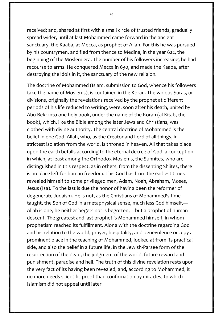received; and, shared at first with a small circle of trusted friends, gradually spread wider, until at last Mohammed came forward in the ancient sanctuary, the Kaaba, at Mecca, as prophet of Allah. For this he was pursued by his countrymen, and fled from thence to Medina, in the year 622, the beginning of the Moslem era. The number of his followers increasing, he had recourse to arms. He conquered Mecca in 630, and made the Kaaba, after destroying the idols in it, the sanctuary of the new religion.

The doctrine of Mohammed (Islam, submission to God, whence his followers take the name of Moslems), is contained in the Koran. The various Suras, or divisions, originally the revelations received by the prophet at different periods of his life reduced to writing, were, soon after his death, united by Abu Bekr into one holy book, under the name of the Koran (al Kitab, the book), which, like the Bible among the later Jews and Christians, was clothed with divine authority. The central doctrine of Mohammed is the belief in one God, Allah, who, as the Creator and Lord of all things, in strictest isolation from the world, is throned in heaven. All that takes place upon the earth befalls according to the eternal decree of God, a conception in which, at least among the Orthodox Moslems, the Sunnites, who are distinguished in this respect, as in others, from the dissenting Shiites, there is no place left for human freedom. This God has from the earliest times revealed himself to some privileged men, Adam, Noah, Abraham, Moses, Jesus (Isa). To the last is due the honor of having been the reformer of degenerate Judaism. He is not, as the Christians of Mohammed's time taught, the Son of God in a metaphysical sense, much less God himself,— Allah is one, he neither begets nor is begotten,—but a prophet of human descent. The greatest and last prophet is Mohammed himself, in whom prophetism reached its fulfillment. Along with the doctrine regarding God and his relation to the world, prayer, hospitality, and benevolence occupy a prominent place in the teaching of Mohammed, looked at from its practical side, and also the belief in a future life, in the Jewish-Parsee form of the resurrection of the dead, the judgment of the world, future reward and punishment, paradise and hell. The truth of this divine revelation rests upon the very fact of its having been revealed, and, according to Mohammed, it no more needs scientific proof than confirmation by miracles, to which Islamism did not appeal until later.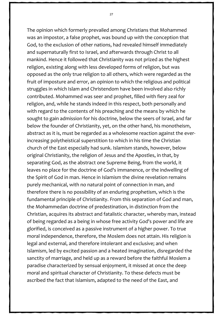The opinion which formerly prevailed among Christians that Mohammed was an impostor, a false prophet, was bound up with the conception that God, to the exclusion of other nations, had revealed himself immediately and supernaturally first to Israel, and afterwards through Christ to all mankind. Hence it followed that Christianity was not prized as the highest religion, existing along with less developed forms of religion, but was opposed as the only true religion to all others, which were regarded as the fruit of imposture and error, an opinion to which the religious and political struggles in which Islam and Christendom have been involved also richly contributed. Mohammed was seer and prophet, filled with fiery zeal for religion, and, while he stands indeed in this respect, both personally and with regard to the contents of his preaching and the means by which he sought to gain admission for his doctrine, below the seers of Israel, and far below the founder of Christianity, yet, on the other hand, his monotheism, abstract as it is, must be regarded as a wholesome reaction against the everincreasing polytheistical superstition to which in his time the Christian church of the East especially had sunk. Islamism stands, however, below original Christianity, the religion of Jesus and the Apostles, in that, by separating God, as the abstract one Supreme Being, from the world, it leaves no place for the doctrine of God's immanence, or the indwelling of the Spirit of God in man. Hence in Islamism the divine revelation remains purely mechanical, with no natural point of connection in man, and therefore there is no possibility of an enduring prophetism, which is the fundamental principle of Christianity. From this separation of God and man, the Mohammedan doctrine of predestination, in distinction from the Christian, acquires its abstract and fatalistic character, whereby man, instead of being regarded as a being in whose free activity God's power and life are glorified, is conceived as a passive instrument of a higher power. To true moral independence, therefore, the Moslem does not attain. His religion is legal and external, and therefore intolerant and exclusive; and when Islamism, led by excited passion and a heated imagination, disregarded the sanctity of marriage, and held up as a reward before the faithful Moslem a paradise characterized by sensual enjoyment, it missed at once the deep moral and spiritual character of Christianity. To these defects must be ascribed the fact that Islamism, adapted to the need of the East, and